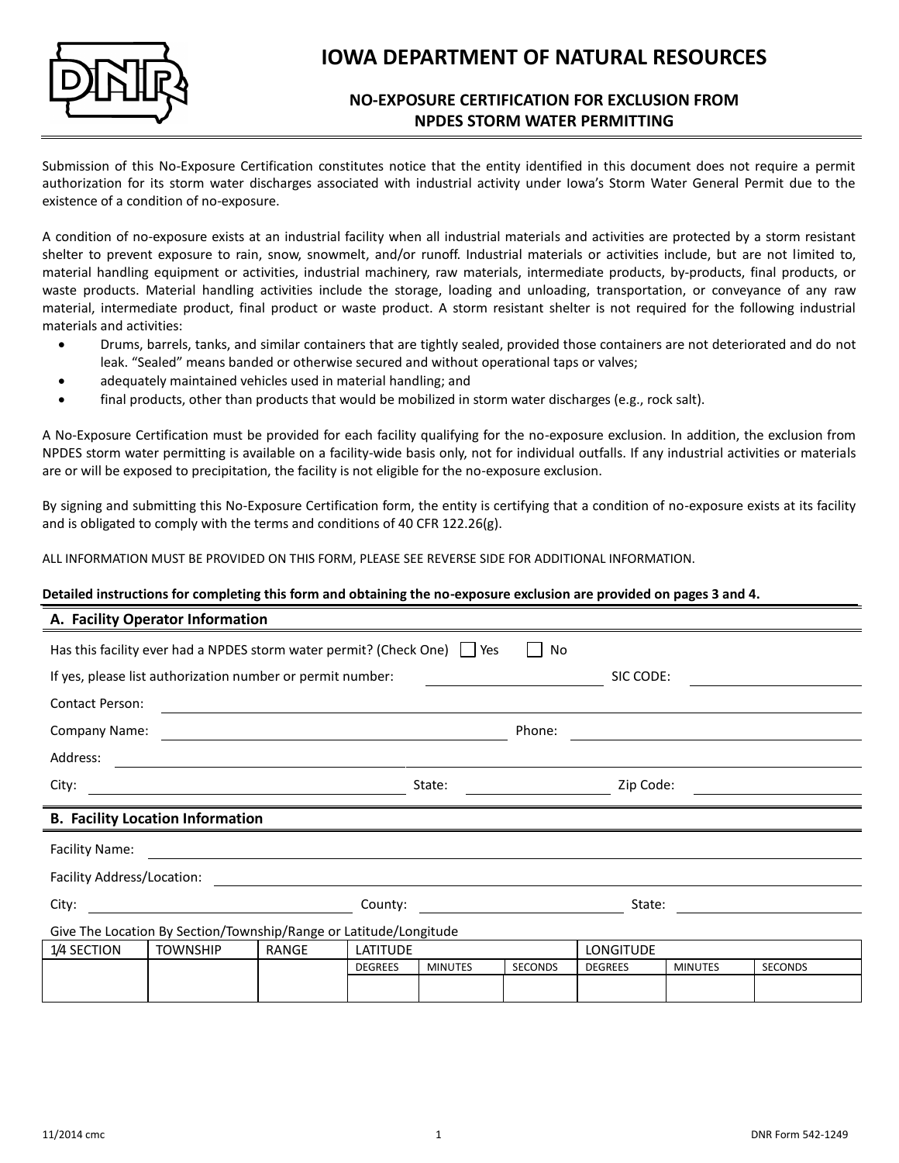

# **IOWA DEPARTMENT OF NATURAL RESOURCES**

# **NO-EXPOSURE CERTIFICATION FOR EXCLUSION FROM NPDES STORM WATER PERMITTING**

Submission of this No-Exposure Certification constitutes notice that the entity identified in this document does not require a permit authorization for its storm water discharges associated with industrial activity under Iowa's Storm Water General Permit due to the existence of a condition of no-exposure.

A condition of no-exposure exists at an industrial facility when all industrial materials and activities are protected by a storm resistant shelter to prevent exposure to rain, snow, snowmelt, and/or runoff. Industrial materials or activities include, but are not limited to, material handling equipment or activities, industrial machinery, raw materials, intermediate products, by-products, final products, or waste products. Material handling activities include the storage, loading and unloading, transportation, or conveyance of any raw material, intermediate product, final product or waste product. A storm resistant shelter is not required for the following industrial materials and activities:

- Drums, barrels, tanks, and similar containers that are tightly sealed, provided those containers are not deteriorated and do not leak. "Sealed" means banded or otherwise secured and without operational taps or valves;
- adequately maintained vehicles used in material handling; and
- final products, other than products that would be mobilized in storm water discharges (e.g., rock salt).

A No-Exposure Certification must be provided for each facility qualifying for the no-exposure exclusion. In addition, the exclusion from NPDES storm water permitting is available on a facility-wide basis only, not for individual outfalls. If any industrial activities or materials are or will be exposed to precipitation, the facility is not eligible for the no-exposure exclusion.

By signing and submitting this No-Exposure Certification form, the entity is certifying that a condition of no-exposure exists at its facility and is obligated to comply with the terms and conditions of 40 CFR 122.26(g).

ALL INFORMATION MUST BE PROVIDED ON THIS FORM, PLEASE SEE REVERSE SIDE FOR ADDITIONAL INFORMATION.

#### **Detailed instructions for completing this form and obtaining the no-exposure exclusion are provided on pages 3 and 4.**

| A. Facility Operator Information                                                                                                       |                 |              |                 |                |                |                  |                |                |  |
|----------------------------------------------------------------------------------------------------------------------------------------|-----------------|--------------|-----------------|----------------|----------------|------------------|----------------|----------------|--|
| Has this facility ever had a NPDES storm water permit? (Check One) $\Box$ Yes<br>No                                                    |                 |              |                 |                |                |                  |                |                |  |
| If yes, please list authorization number or permit number:<br>SIC CODE:                                                                |                 |              |                 |                |                |                  |                |                |  |
| <b>Contact Person:</b>                                                                                                                 |                 |              |                 |                |                |                  |                |                |  |
| <b>Company Name:</b><br><u> 1989 - Johann Stein, Amerikaansk politiker († 1908)</u>                                                    |                 |              |                 |                | Phone:         |                  |                |                |  |
| Address:                                                                                                                               |                 |              |                 |                |                |                  |                |                |  |
| City:                                                                                                                                  |                 |              |                 | State:         |                | Zip Code:        |                |                |  |
| <b>B. Facility Location Information</b>                                                                                                |                 |              |                 |                |                |                  |                |                |  |
| Facility Name:<br><u> 1980 - Jan Sarajević, politički predstava i objavlja i objavlja i objavlja i objavlja i objavlja i objavlja </u> |                 |              |                 |                |                |                  |                |                |  |
| Facility Address/Location:                                                                                                             |                 |              |                 |                |                |                  |                |                |  |
| City:                                                                                                                                  |                 |              |                 |                |                |                  | State:         |                |  |
| Give The Location By Section/Township/Range or Latitude/Longitude                                                                      |                 |              |                 |                |                |                  |                |                |  |
| 1/4 SECTION                                                                                                                            | <b>TOWNSHIP</b> | <b>RANGE</b> | <b>LATITUDE</b> |                |                | <b>LONGITUDE</b> |                |                |  |
|                                                                                                                                        |                 |              | <b>DEGREES</b>  | <b>MINUTES</b> | <b>SECONDS</b> | <b>DEGREES</b>   | <b>MINUTES</b> | <b>SECONDS</b> |  |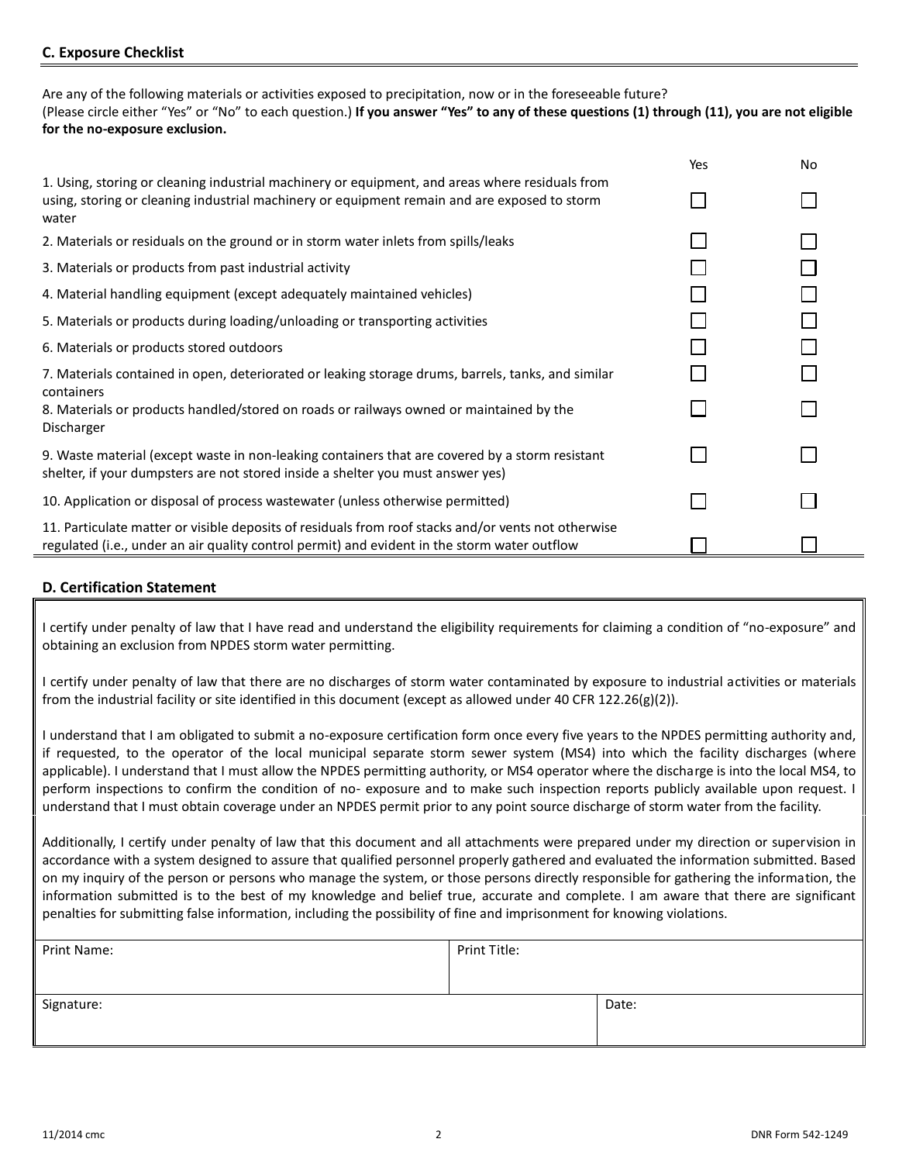# **C. Exposure Checklist**

Are any of the following materials or activities exposed to precipitation, now or in the foreseeable future? (Please circle either "Yes" or "No" to each question.) **If you answer "Yes" to any of these questions (1) through (11), you are not eligible for the no-exposure exclusion.**

|                                                                                                                                                                                                          | Yes | No |
|----------------------------------------------------------------------------------------------------------------------------------------------------------------------------------------------------------|-----|----|
| 1. Using, storing or cleaning industrial machinery or equipment, and areas where residuals from<br>using, storing or cleaning industrial machinery or equipment remain and are exposed to storm<br>water |     |    |
| 2. Materials or residuals on the ground or in storm water inlets from spills/leaks                                                                                                                       |     |    |
| 3. Materials or products from past industrial activity                                                                                                                                                   |     |    |
| 4. Material handling equipment (except adequately maintained vehicles)                                                                                                                                   |     |    |
| 5. Materials or products during loading/unloading or transporting activities                                                                                                                             |     |    |
| 6. Materials or products stored outdoors                                                                                                                                                                 |     |    |
| 7. Materials contained in open, deteriorated or leaking storage drums, barrels, tanks, and similar<br>containers                                                                                         |     |    |
| 8. Materials or products handled/stored on roads or railways owned or maintained by the<br>Discharger                                                                                                    |     |    |
| 9. Waste material (except waste in non-leaking containers that are covered by a storm resistant<br>shelter, if your dumpsters are not stored inside a shelter you must answer yes)                       |     |    |
| 10. Application or disposal of process wastewater (unless otherwise permitted)                                                                                                                           |     |    |
| 11. Particulate matter or visible deposits of residuals from roof stacks and/or vents not otherwise<br>regulated (i.e., under an air quality control permit) and evident in the storm water outflow      |     |    |

#### **D. Certification Statement**

I certify under penalty of law that I have read and understand the eligibility requirements for claiming a condition of "no-exposure" and obtaining an exclusion from NPDES storm water permitting.

I certify under penalty of law that there are no discharges of storm water contaminated by exposure to industrial activities or materials from the industrial facility or site identified in this document (except as allowed under 40 CFR 122.26(g)(2)).

I understand that I am obligated to submit a no-exposure certification form once every five years to the NPDES permitting authority and, if requested, to the operator of the local municipal separate storm sewer system (MS4) into which the facility discharges (where applicable). I understand that I must allow the NPDES permitting authority, or MS4 operator where the discharge is into the local MS4, to perform inspections to confirm the condition of no- exposure and to make such inspection reports publicly available upon request. I understand that I must obtain coverage under an NPDES permit prior to any point source discharge of storm water from the facility.

Additionally, I certify under penalty of law that this document and all attachments were prepared under my direction or supervision in accordance with a system designed to assure that qualified personnel properly gathered and evaluated the information submitted. Based on my inquiry of the person or persons who manage the system, or those persons directly responsible for gathering the information, the information submitted is to the best of my knowledge and belief true, accurate and complete. I am aware that there are significant penalties for submitting false information, including the possibility of fine and imprisonment for knowing violations.

| Print Name: | Print Title: |       |
|-------------|--------------|-------|
| Signature:  |              | Date: |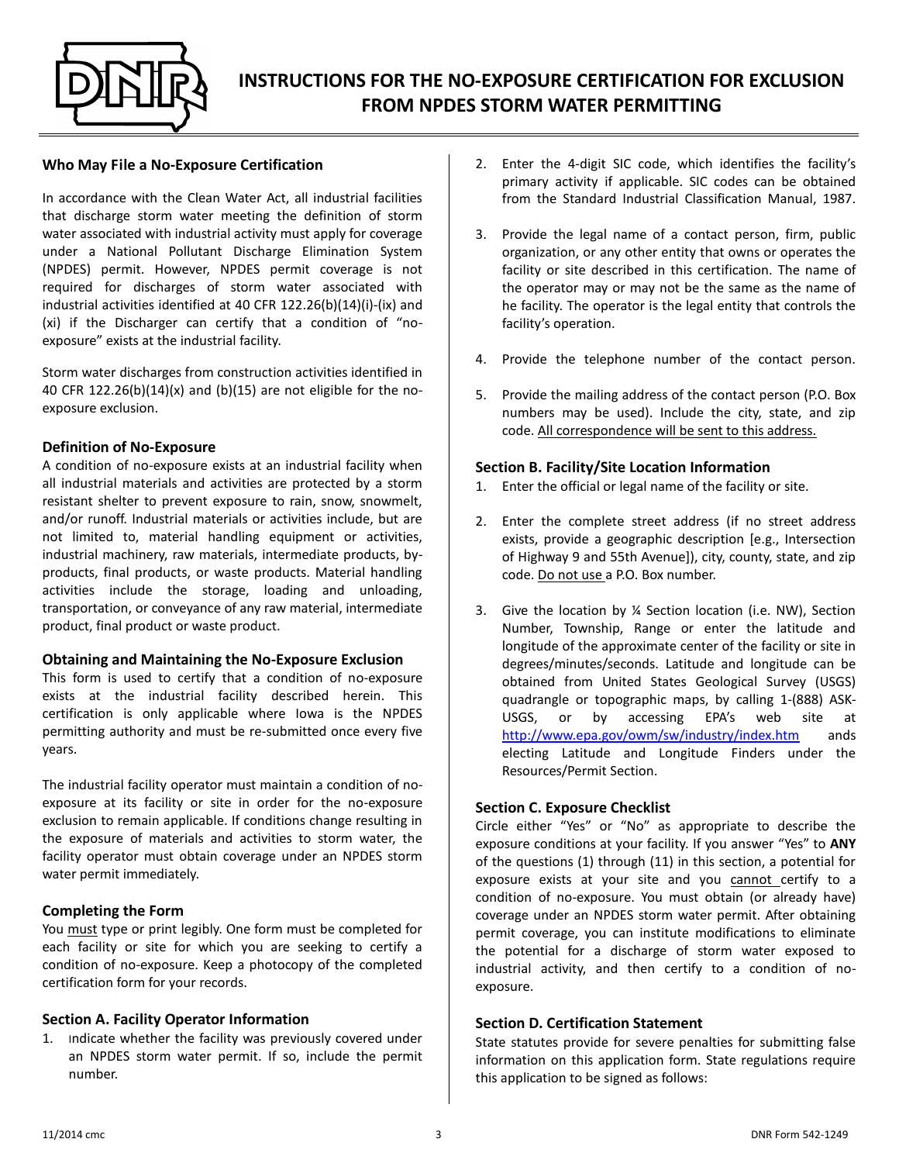

#### **Who May File a No-Exposure Certification**

In accordance with the Clean Water Act, all industrial facilities that discharge storm water meeting the definition of storm water associated with industrial activity must apply for coverage under a National Pollutant Discharge Elimination System (NPDES) permit. However, NPDES permit coverage is not required for discharges of storm water associated with industrial activities identified at 40 CFR 122.26(b)(14)(i)-(ix) and (xi) if the Discharger can certify that a condition of "noexposure" exists at the industrial facility.

Storm water discharges from construction activities identified in 40 CFR 122.26(b)(14)(x) and (b)(15) are not eligible for the noexposure exclusion.

#### **Definition of No-Exposure**

A condition of no-exposure exists at an industrial facility when all industrial materials and activities are protected by a storm resistant shelter to prevent exposure to rain, snow, snowmelt, and/or runoff. Industrial materials or activities include, but are not limited to, material handling equipment or activities, industrial machinery, raw materials, intermediate products, byproducts, final products, or waste products. Material handling activities include the storage, loading and unloading, transportation, or conveyance of any raw material, intermediate product, final product or waste product.

#### **Obtaining and Maintaining the No-Exposure Exclusion**

This form is used to certify that a condition of no-exposure exists at the industrial facility described herein. This certification is only applicable where Iowa is the NPDES permitting authority and must be re-submitted once every five years.

The industrial facility operator must maintain a condition of noexposure at its facility or site in order for the no-exposure exclusion to remain applicable. If conditions change resulting in the exposure of materials and activities to storm water, the facility operator must obtain coverage under an NPDES storm water permit immediately.

# **Completing the Form**

You must type or print legibly. One form must be completed for each facility or site for which you are seeking to certify a condition of no-exposure. Keep a photocopy of the completed certification form for your records.

#### **Section A. Facility Operator Information**

1. Indicate whether the facility was previously covered under an NPDES storm water permit. If so, include the permit number.

- 2. Enter the 4-digit SIC code, which identifies the facility's primary activity if applicable. SIC codes can be obtained from the Standard Industrial Classification Manual, 1987.
- 3. Provide the legal name of a contact person, firm, public organization, or any other entity that owns or operates the facility or site described in this certification. The name of the operator may or may not be the same as the name of he facility. The operator is the legal entity that controls the facility's operation.
- 4. Provide the telephone number of the contact person.
- 5. Provide the mailing address of the contact person (P.O. Box numbers may be used). Include the city, state, and zip code. All correspondence will be sent to this address.

## **Section B. Facility/Site Location Information**

- 1. Enter the official or legal name of the facility or site.
- 2. Enter the complete street address (if no street address exists, provide a geographic description [e.g., Intersection of Highway 9 and 55th Avenue]), city, county, state, and zip code. Do not use a P.O. Box number.
- 3. Give the location by ¼ Section location (i.e. NW), Section Number, Township, Range or enter the latitude and longitude of the approximate center of the facility or site in degrees/minutes/seconds. Latitude and longitude can be obtained from United States Geological Survey (USGS) quadrangle or topographic maps, by calling 1-(888) ASK-USGS, or by accessing EPA's web site at <http://www.epa.gov/owm/sw/industry/index.htm> ands electing Latitude and Longitude Finders under the Resources/Permit Section.

# **Section C. Exposure Checklist**

Circle either "Yes" or "No" as appropriate to describe the exposure conditions at your facility. If you answer "Yes" to **ANY**  of the questions (1) through (11) in this section, a potential for exposure exists at your site and you cannot certify to a condition of no-exposure. You must obtain (or already have) coverage under an NPDES storm water permit. After obtaining permit coverage, you can institute modifications to eliminate the potential for a discharge of storm water exposed to industrial activity, and then certify to a condition of noexposure.

#### **Section D. Certification Statement**

State statutes provide for severe penalties for submitting false information on this application form. State regulations require this application to be signed as follows: